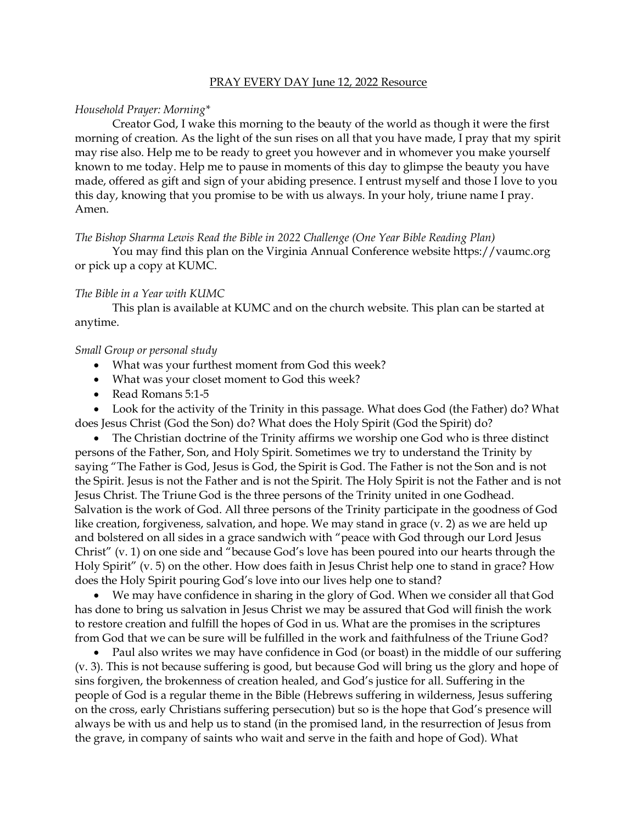## PRAY EVERY DAY June 12, 2022 Resource

### *Household Prayer: Morning\**

Creator God, I wake this morning to the beauty of the world as though it were the first morning of creation. As the light of the sun rises on all that you have made, I pray that my spirit may rise also. Help me to be ready to greet you however and in whomever you make yourself known to me today. Help me to pause in moments of this day to glimpse the beauty you have made, offered as gift and sign of your abiding presence. I entrust myself and those I love to you this day, knowing that you promise to be with us always. In your holy, triune name I pray. Amen.

#### *The Bishop Sharma Lewis Read the Bible in 2022 Challenge (One Year Bible Reading Plan)*

You may find this plan on the Virginia Annual Conference website [https://vaumc.org](https://vaumc.org/) or pick up a copy at KUMC.

#### *The Bible in a Year with KUMC*

This plan is available at KUMC and on the church website. This plan can be started at anytime.

### *Small Group or personal study*

- What was your furthest moment from God this week?
- What was your closet moment to God this week?
- Read Romans 5:1-5

• Look for the activity of the Trinity in this passage. What does God (the Father) do? What does Jesus Christ (God the Son) do? What does the Holy Spirit (God the Spirit) do?

• The Christian doctrine of the Trinity affirms we worship one God who is three distinct persons of the Father, Son, and Holy Spirit. Sometimes we try to understand the Trinity by saying "The Father is God, Jesus is God, the Spirit is God. The Father is not the Son and is not the Spirit. Jesus is not the Father and is not the Spirit. The Holy Spirit is not the Father and is not Jesus Christ. The Triune God is the three persons of the Trinity united in one Godhead. Salvation is the work of God. All three persons of the Trinity participate in the goodness of God like creation, forgiveness, salvation, and hope. We may stand in grace (v. 2) as we are held up and bolstered on all sides in a grace sandwich with "peace with God through our Lord Jesus Christ" (v. 1) on one side and "because God's love has been poured into our hearts through the Holy Spirit" (v. 5) on the other. How does faith in Jesus Christ help one to stand in grace? How does the Holy Spirit pouring God's love into our lives help one to stand?

• We may have confidence in sharing in the glory of God. When we consider all that God has done to bring us salvation in Jesus Christ we may be assured that God will finish the work to restore creation and fulfill the hopes of God in us. What are the promises in the scriptures from God that we can be sure will be fulfilled in the work and faithfulness of the Triune God?

• Paul also writes we may have confidence in God (or boast) in the middle of our suffering (v. 3). This is not because suffering is good, but because God will bring us the glory and hope of sins forgiven, the brokenness of creation healed, and God's justice for all. Suffering in the people of God is a regular theme in the Bible (Hebrews suffering in wilderness, Jesus suffering on the cross, early Christians suffering persecution) but so is the hope that God's presence will always be with us and help us to stand (in the promised land, in the resurrection of Jesus from the grave, in company of saints who wait and serve in the faith and hope of God). What